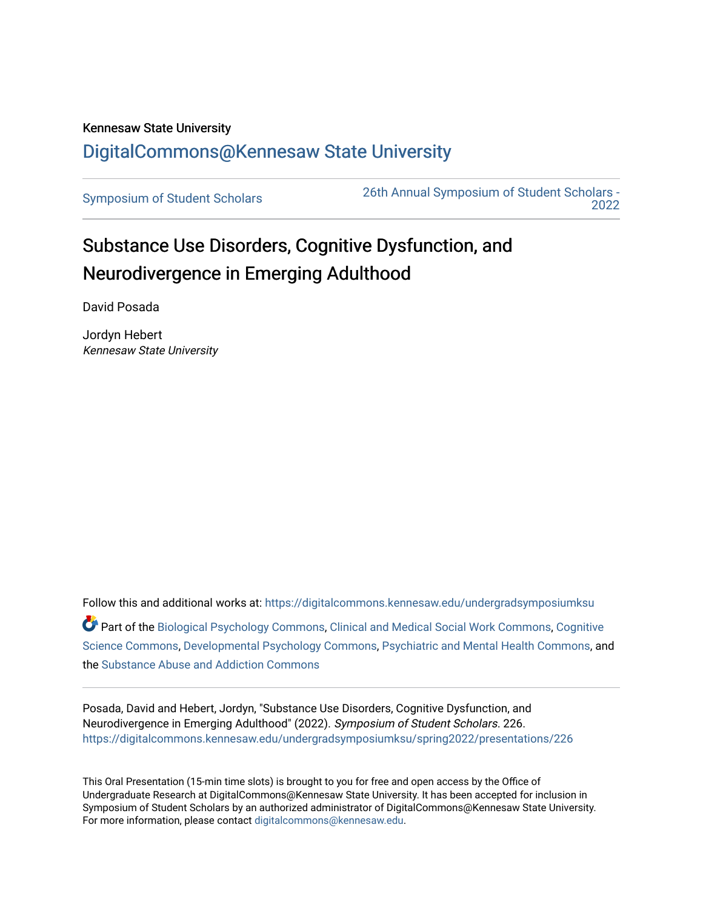## Kennesaw State University [DigitalCommons@Kennesaw State University](https://digitalcommons.kennesaw.edu/)

[Symposium of Student Scholars](https://digitalcommons.kennesaw.edu/undergradsymposiumksu) [26th Annual Symposium of Student Scholars -](https://digitalcommons.kennesaw.edu/undergradsymposiumksu/spring2022)  [2022](https://digitalcommons.kennesaw.edu/undergradsymposiumksu/spring2022) 

## Substance Use Disorders, Cognitive Dysfunction, and Neurodivergence in Emerging Adulthood

David Posada

Jordyn Hebert Kennesaw State University

Follow this and additional works at: [https://digitalcommons.kennesaw.edu/undergradsymposiumksu](https://digitalcommons.kennesaw.edu/undergradsymposiumksu?utm_source=digitalcommons.kennesaw.edu%2Fundergradsymposiumksu%2Fspring2022%2Fpresentations%2F226&utm_medium=PDF&utm_campaign=PDFCoverPages)  Part of the [Biological Psychology Commons,](http://network.bepress.com/hgg/discipline/405?utm_source=digitalcommons.kennesaw.edu%2Fundergradsymposiumksu%2Fspring2022%2Fpresentations%2F226&utm_medium=PDF&utm_campaign=PDFCoverPages) [Clinical and Medical Social Work Commons](http://network.bepress.com/hgg/discipline/712?utm_source=digitalcommons.kennesaw.edu%2Fundergradsymposiumksu%2Fspring2022%2Fpresentations%2F226&utm_medium=PDF&utm_campaign=PDFCoverPages), [Cognitive](http://network.bepress.com/hgg/discipline/1437?utm_source=digitalcommons.kennesaw.edu%2Fundergradsymposiumksu%2Fspring2022%2Fpresentations%2F226&utm_medium=PDF&utm_campaign=PDFCoverPages) [Science Commons,](http://network.bepress.com/hgg/discipline/1437?utm_source=digitalcommons.kennesaw.edu%2Fundergradsymposiumksu%2Fspring2022%2Fpresentations%2F226&utm_medium=PDF&utm_campaign=PDFCoverPages) [Developmental Psychology Commons](http://network.bepress.com/hgg/discipline/410?utm_source=digitalcommons.kennesaw.edu%2Fundergradsymposiumksu%2Fspring2022%2Fpresentations%2F226&utm_medium=PDF&utm_campaign=PDFCoverPages), [Psychiatric and Mental Health Commons](http://network.bepress.com/hgg/discipline/711?utm_source=digitalcommons.kennesaw.edu%2Fundergradsymposiumksu%2Fspring2022%2Fpresentations%2F226&utm_medium=PDF&utm_campaign=PDFCoverPages), and the [Substance Abuse and Addiction Commons](http://network.bepress.com/hgg/discipline/710?utm_source=digitalcommons.kennesaw.edu%2Fundergradsymposiumksu%2Fspring2022%2Fpresentations%2F226&utm_medium=PDF&utm_campaign=PDFCoverPages) 

Posada, David and Hebert, Jordyn, "Substance Use Disorders, Cognitive Dysfunction, and Neurodivergence in Emerging Adulthood" (2022). Symposium of Student Scholars. 226. [https://digitalcommons.kennesaw.edu/undergradsymposiumksu/spring2022/presentations/226](https://digitalcommons.kennesaw.edu/undergradsymposiumksu/spring2022/presentations/226?utm_source=digitalcommons.kennesaw.edu%2Fundergradsymposiumksu%2Fspring2022%2Fpresentations%2F226&utm_medium=PDF&utm_campaign=PDFCoverPages)

This Oral Presentation (15-min time slots) is brought to you for free and open access by the Office of Undergraduate Research at DigitalCommons@Kennesaw State University. It has been accepted for inclusion in Symposium of Student Scholars by an authorized administrator of DigitalCommons@Kennesaw State University. For more information, please contact [digitalcommons@kennesaw.edu.](mailto:digitalcommons@kennesaw.edu)